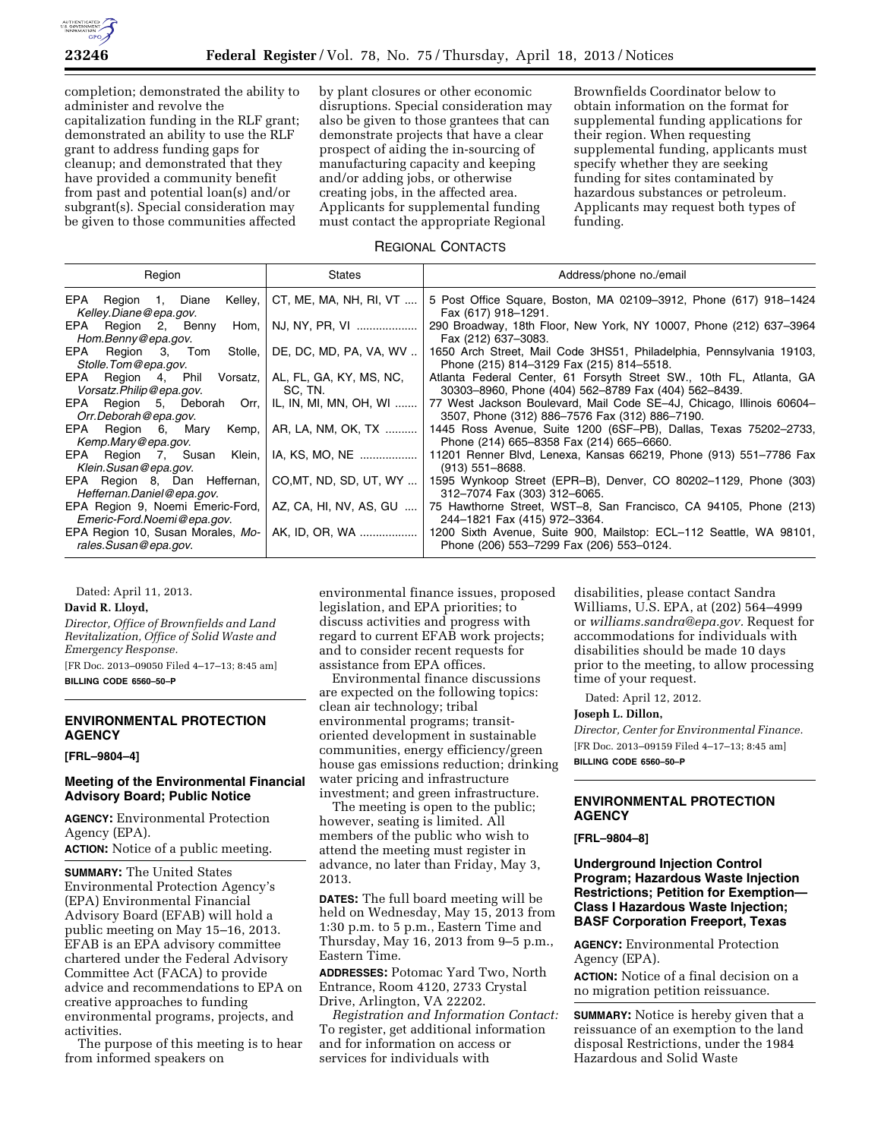

completion; demonstrated the ability to administer and revolve the capitalization funding in the RLF grant; demonstrated an ability to use the RLF grant to address funding gaps for cleanup; and demonstrated that they have provided a community benefit from past and potential loan(s) and/or subgrant(s). Special consideration may be given to those communities affected

by plant closures or other economic disruptions. Special consideration may also be given to those grantees that can demonstrate projects that have a clear prospect of aiding the in-sourcing of manufacturing capacity and keeping and/or adding jobs, or otherwise creating jobs, in the affected area. Applicants for supplemental funding must contact the appropriate Regional

Brownfields Coordinator below to obtain information on the format for supplemental funding applications for their region. When requesting supplemental funding, applicants must specify whether they are seeking funding for sites contaminated by hazardous substances or petroleum. Applicants may request both types of funding.

### REGIONAL CONTACTS

| Region                                                         | States                             | Address/phone no./email                                                                                                          |
|----------------------------------------------------------------|------------------------------------|----------------------------------------------------------------------------------------------------------------------------------|
| Kelley, I<br>EPA Region 1, Diane<br>Kelley.Diane@epa.gov.      | CT, ME, MA, NH, RI, VT             | 5 Post Office Square, Boston, MA 02109-3912, Phone (617) 918-1424<br>Fax (617) 918-1291.                                         |
| EPA Region 2, Benny Hom,<br>Hom.Benny@epa.gov.                 | NJ, NY, PR, VI                     | 290 Broadway, 18th Floor, New York, NY 10007, Phone (212) 637–3964<br>Fax (212) 637-3083.                                        |
| EPA Region 3, Tom<br>Stolle,<br>Stolle. Tom @epa.gov.          | DE, DC, MD, PA, VA, WV             | 1650 Arch Street, Mail Code 3HS51, Philadelphia, Pennsylvania 19103,<br>Phone (215) 814-3129 Fax (215) 814-5518.                 |
| EPA Region 4, Phil Vorsatz,<br>Vorsatz.Philip@epa.gov.         | AL, FL, GA, KY, MS, NC,<br>SC. TN. | Atlanta Federal Center, 61 Forsyth Street SW., 10th FL, Atlanta, GA<br>30303-8960, Phone (404) 562-8789 Fax (404) 562-8439.      |
| EPA Region 5, Deborah Orr,<br>Orr.Deborah@epa.gov.             | IL, IN, MI, MN, OH, WI             | 77 West Jackson Boulevard, Mail Code SE-4J, Chicago, Illinois 60604-<br>3507, Phone (312) 886-7576 Fax (312) 886-7190.           |
| EPA Region 6, Mary<br>Kemp,<br>Kemp.Mary@epa.gov.              | AR, LA, NM, OK, TX                 | 1445 Ross Avenue, Suite 1200 (6SF-PB), Dallas, Texas 75202-2733,<br>Phone (214) 665-8358 Fax (214) 665-6660.                     |
| EPA Region 7, Susan Klein,<br>Klein.Susan@epa.gov.             | IA, KS, MO, NE                     | 11201 Renner Blvd, Lenexa, Kansas 66219, Phone (913) 551–7786 Fax<br>$(913)$ 551-8688.                                           |
| EPA Region 8, Dan Heffernan,<br>Heffernan.Daniel@epa.gov.      | CO, MT, ND, SD, UT, WY             | 1595 Wynkoop Street (EPR–B), Denver, CO 80202–1129, Phone (303)<br>312-7074 Fax (303) 312-6065.                                  |
| EPA Region 9, Noemi Emeric-Ford,<br>Emeric-Ford.Noemi@epa.gov. | AZ, CA, HI, NV, AS, GU             | 75 Hawthorne Street, WST-8, San Francisco, CA 94105, Phone (213)<br>244-1821 Fax (415) 972-3364.                                 |
| EPA Region 10, Susan Morales, Mo-<br>rales.Susan@epa.gov.      |                                    | AK, ID, OR, WA    1200 Sixth Avenue, Suite 900, Mailstop: ECL-112 Seattle, WA 98101,<br>Phone (206) 553-7299 Fax (206) 553-0124. |

Dated: April 11, 2013.

### **David R. Lloyd,**

*Director, Office of Brownfields and Land Revitalization, Office of Solid Waste and Emergency Response.*  [FR Doc. 2013–09050 Filed 4–17–13; 8:45 am]

**BILLING CODE 6560–50–P** 

# **ENVIRONMENTAL PROTECTION AGENCY**

#### **[FRL–9804–4]**

## **Meeting of the Environmental Financial Advisory Board; Public Notice**

**AGENCY:** Environmental Protection Agency (EPA).

**ACTION:** Notice of a public meeting.

**SUMMARY:** The United States Environmental Protection Agency's (EPA) Environmental Financial Advisory Board (EFAB) will hold a public meeting on May 15–16, 2013. EFAB is an EPA advisory committee chartered under the Federal Advisory Committee Act (FACA) to provide advice and recommendations to EPA on creative approaches to funding environmental programs, projects, and activities.

The purpose of this meeting is to hear from informed speakers on

environmental finance issues, proposed legislation, and EPA priorities; to discuss activities and progress with regard to current EFAB work projects; and to consider recent requests for assistance from EPA offices.

Environmental finance discussions are expected on the following topics: clean air technology; tribal environmental programs; transitoriented development in sustainable communities, energy efficiency/green house gas emissions reduction; drinking water pricing and infrastructure investment; and green infrastructure.

The meeting is open to the public; however, seating is limited. All members of the public who wish to attend the meeting must register in advance, no later than Friday, May 3, 2013.

**DATES:** The full board meeting will be held on Wednesday, May 15, 2013 from 1:30 p.m. to 5 p.m., Eastern Time and Thursday, May 16, 2013 from 9–5 p.m., Eastern Time.

**ADDRESSES:** Potomac Yard Two, North Entrance, Room 4120, 2733 Crystal Drive, Arlington, VA 22202.

*Registration and Information Contact:*  To register, get additional information and for information on access or services for individuals with

disabilities, please contact Sandra Williams, U.S. EPA, at (202) 564–4999 or *[williams.sandra@epa.gov.](mailto:williams.sandra@epa.gov)* Request for accommodations for individuals with disabilities should be made 10 days prior to the meeting, to allow processing time of your request.

Dated: April 12, 2012.

#### **Joseph L. Dillon,**

*Director, Center for Environmental Finance.*  [FR Doc. 2013–09159 Filed 4–17–13; 8:45 am] **BILLING CODE 6560–50–P** 

### **ENVIRONMENTAL PROTECTION AGENCY**

#### **[FRL–9804–8]**

### **Underground Injection Control Program; Hazardous Waste Injection Restrictions; Petition for Exemption— Class I Hazardous Waste Injection; BASF Corporation Freeport, Texas**

**AGENCY:** Environmental Protection Agency (EPA).

**ACTION:** Notice of a final decision on a no migration petition reissuance.

**SUMMARY:** Notice is hereby given that a reissuance of an exemption to the land disposal Restrictions, under the 1984 Hazardous and Solid Waste